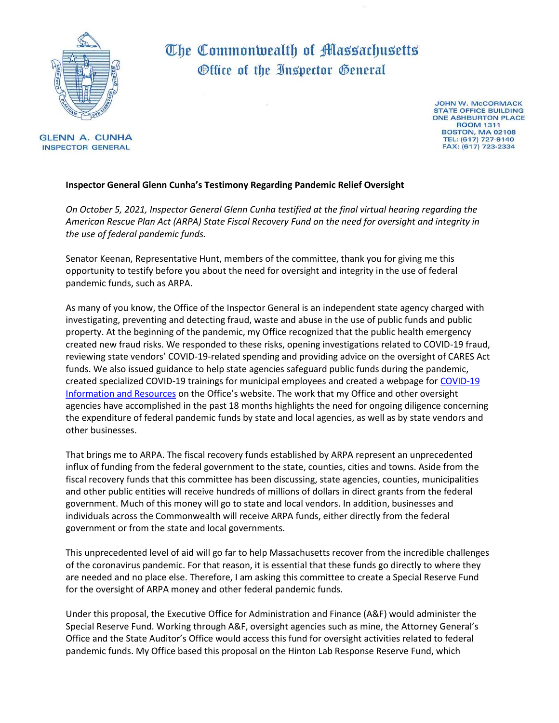

## The Commonwealth of Massachusetts Office of the Inspector General

**GLENN A. CUNHA INSPECTOR GENERAL** 

**JOHN W. MCCORMACK STATE OFFICE BUILDING ONE ASHBURTON PLACE ROOM 1311 BOSTON, MA 02108** TEL: (617) 727-9140 FAX: (617) 723-2334

## **Inspector General Glenn Cunha's Testimony Regarding Pandemic Relief Oversight**

*On October 5, 2021, Inspector General Glenn Cunha testified at the final virtual hearing regarding the American Rescue Plan Act (ARPA) State Fiscal Recovery Fund on the need for oversight and integrity in the use of federal pandemic funds.* 

Senator Keenan, Representative Hunt, members of the committee, thank you for giving me this opportunity to testify before you about the need for oversight and integrity in the use of federal pandemic funds, such as ARPA.

As many of you know, the Office of the Inspector General is an independent state agency charged with investigating, preventing and detecting fraud, waste and abuse in the use of public funds and public property. At the beginning of the pandemic, my Office recognized that the public health emergency created new fraud risks. We responded to these risks, opening investigations related to COVID-19 fraud, reviewing state vendors' COVID-19-related spending and providing advice on the oversight of CARES Act funds. We also issued guidance to help state agencies safeguard public funds during the pandemic, created specialized [COVID-19](https://www.mass.gov/oig-covid-19-information-and-resources) trainings for municipal employees and created a webpage for COVID-19 [Information and Resources](https://www.mass.gov/oig-covid-19-information-and-resources) on the Office's website. The work that my Office and other oversight agencies have accomplished in the past 18 months highlights the need for ongoing diligence concerning the expenditure of federal pandemic funds by state and local agencies, as well as by state vendors and other businesses.

That brings me to ARPA. The fiscal recovery funds established by ARPA represent an unprecedented influx of funding from the federal government to the state, counties, cities and towns. Aside from the fiscal recovery funds that this committee has been discussing, state agencies, counties, municipalities and other public entities will receive hundreds of millions of dollars in direct grants from the federal government. Much of this money will go to state and local vendors. In addition, businesses and individuals across the Commonwealth will receive ARPA funds, either directly from the federal government or from the state and local governments.

This unprecedented level of aid will go far to help Massachusetts recover from the incredible challenges of the coronavirus pandemic. For that reason, it is essential that these funds go directly to where they are needed and no place else. Therefore, I am asking this committee to create a Special Reserve Fund for the oversight of ARPA money and other federal pandemic funds.

Under this proposal, the Executive Office for Administration and Finance (A&F) would administer the Special Reserve Fund. Working through A&F, oversight agencies such as mine, the Attorney General's Office and the State Auditor's Office would access this fund for oversight activities related to federal pandemic funds. My Office based this proposal on the Hinton Lab Response Reserve Fund, which